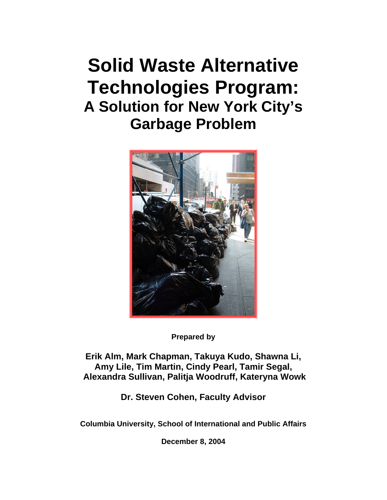# **Solid Waste Alternative Technologies Program: A Solution for New York City's Garbage Problem**



**Prepared by** 

**Erik Alm, Mark Chapman, Takuya Kudo, Shawna Li, Amy Lile, Tim Martin, Cindy Pearl, Tamir Segal, Alexandra Sullivan, Palitja Woodruff, Kateryna Wowk** 

**Dr. Steven Cohen, Faculty Advisor** 

**Columbia University, School of International and Public Affairs** 

**December 8, 2004**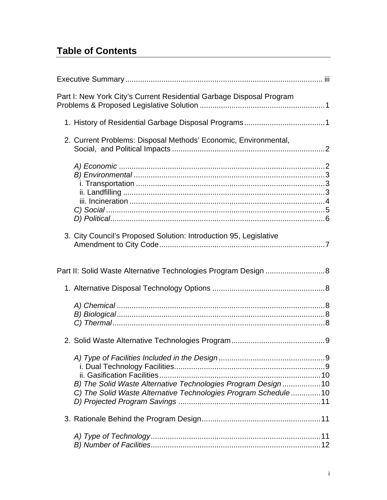## **Table of Contents**

| Part I: New York City's Current Residential Garbage Disposal Program                                                           |  |
|--------------------------------------------------------------------------------------------------------------------------------|--|
|                                                                                                                                |  |
| 2. Current Problems: Disposal Methods' Economic, Environmental,                                                                |  |
|                                                                                                                                |  |
| 3. City Council's Proposed Solution: Introduction 95, Legislative                                                              |  |
| Part II: Solid Waste Alternative Technologies Program Design  8                                                                |  |
|                                                                                                                                |  |
|                                                                                                                                |  |
|                                                                                                                                |  |
| B) The Solid Waste Alternative Technologies Program Design10<br>C) The Solid Waste Alternative Technologies Program Schedule10 |  |
|                                                                                                                                |  |
|                                                                                                                                |  |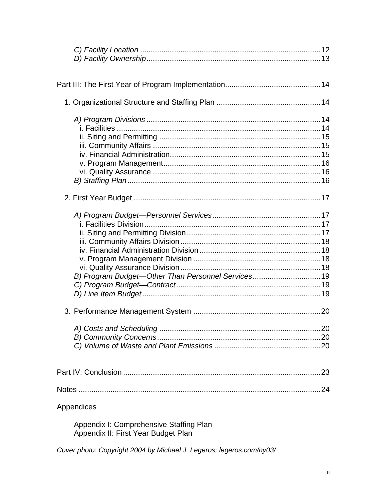| B) Program Budget-Other Than Personnel Services19 |
|---------------------------------------------------|
|                                                   |
|                                                   |
|                                                   |
|                                                   |
|                                                   |
|                                                   |
|                                                   |
|                                                   |
|                                                   |
|                                                   |
|                                                   |
| Appendices                                        |

Appendix I: Comprehensive Staffing Plan<br>Appendix II: First Year Budget Plan

Cover photo: Copyright 2004 by Michael J. Legeros; legeros.com/ny03/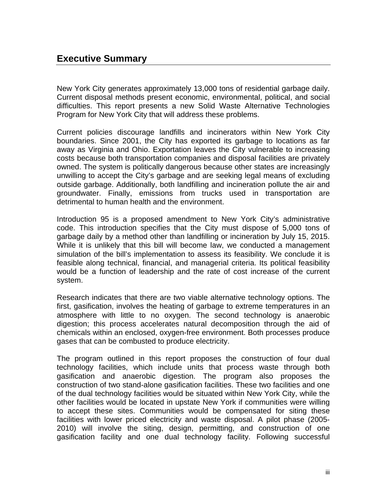New York City generates approximately 13,000 tons of residential garbage daily. Current disposal methods present economic, environmental, political, and social difficulties. This report presents a new Solid Waste Alternative Technologies Program for New York City that will address these problems.

Current policies discourage landfills and incinerators within New York City boundaries. Since 2001, the City has exported its garbage to locations as far away as Virginia and Ohio. Exportation leaves the City vulnerable to increasing costs because both transportation companies and disposal facilities are privately owned. The system is politically dangerous because other states are increasingly unwilling to accept the City's garbage and are seeking legal means of excluding outside garbage. Additionally, both landfilling and incineration pollute the air and groundwater. Finally, emissions from trucks used in transportation are detrimental to human health and the environment.

Introduction 95 is a proposed amendment to New York City's administrative code. This introduction specifies that the City must dispose of 5,000 tons of garbage daily by a method other than landfilling or incineration by July 15, 2015. While it is unlikely that this bill will become law, we conducted a management simulation of the bill's implementation to assess its feasibility. We conclude it is feasible along technical, financial, and managerial criteria. Its political feasibility would be a function of leadership and the rate of cost increase of the current system.

Research indicates that there are two viable alternative technology options. The first, gasification, involves the heating of garbage to extreme temperatures in an atmosphere with little to no oxygen. The second technology is anaerobic digestion; this process accelerates natural decomposition through the aid of chemicals within an enclosed, oxygen-free environment. Both processes produce gases that can be combusted to produce electricity.

The program outlined in this report proposes the construction of four dual technology facilities, which include units that process waste through both gasification and anaerobic digestion. The program also proposes the construction of two stand-alone gasification facilities. These two facilities and one of the dual technology facilities would be situated within New York City, while the other facilities would be located in upstate New York if communities were willing to accept these sites. Communities would be compensated for siting these facilities with lower priced electricity and waste disposal. A pilot phase (2005- 2010) will involve the siting, design, permitting, and construction of one gasification facility and one dual technology facility. Following successful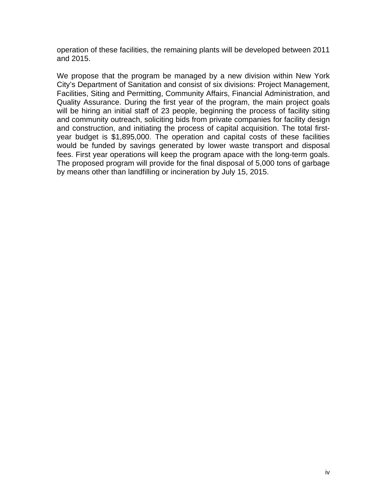operation of these facilities, the remaining plants will be developed between 2011 and 2015.

We propose that the program be managed by a new division within New York City's Department of Sanitation and consist of six divisions: Project Management, Facilities, Siting and Permitting, Community Affairs, Financial Administration, and Quality Assurance. During the first year of the program, the main project goals will be hiring an initial staff of 23 people, beginning the process of facility siting and community outreach, soliciting bids from private companies for facility design and construction, and initiating the process of capital acquisition. The total firstyear budget is \$1,895,000. The operation and capital costs of these facilities would be funded by savings generated by lower waste transport and disposal fees. First year operations will keep the program apace with the long-term goals. The proposed program will provide for the final disposal of 5,000 tons of garbage by means other than landfilling or incineration by July 15, 2015.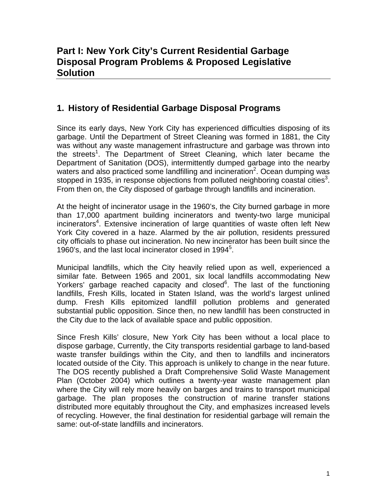## **1. History of Residential Garbage Disposal Programs**

Since its early days, New York City has experienced difficulties disposing of its garbage. Until the Department of Street Cleaning was formed in 1881, the City was without any waste management infrastructure and garbage was thrown into the streets<sup>1</sup>. The Department of Street Cleaning, which later became the Department of Sanitation (DOS), intermittently dumped garbage into the nearby waters and also practiced some landfilling and incineration<sup>2</sup>. Ocean dumping was stopped in 1935, in response objections from polluted neighboring coastal cities<sup>3</sup>. From then on, the City disposed of garbage through landfills and incineration.

At the height of incinerator usage in the 1960's, the City burned garbage in more than 17,000 apartment building incinerators and twenty-two large municipal incinerators<sup>4</sup>. Extensive incineration of large quantities of waste often left New York City covered in a haze. Alarmed by the air pollution, residents pressured city officials to phase out incineration. No new incinerator has been built since the 1960's, and the last local incinerator closed in 1994<sup>5</sup>.

Municipal landfills, which the City heavily relied upon as well, experienced a similar fate. Between 1965 and 2001, six local landfills accommodating New Yorkers' garbage reached capacity and closed<sup>6</sup>. The last of the functioning landfills, Fresh Kills, located in Staten Island, was the world's largest unlined dump. Fresh Kills epitomized landfill pollution problems and generated substantial public opposition. Since then, no new landfill has been constructed in the City due to the lack of available space and public opposition.

Since Fresh Kills' closure, New York City has been without a local place to dispose garbage, Currently, the City transports residential garbage to land-based waste transfer buildings within the City, and then to landfills and incinerators located outside of the City. This approach is unlikely to change in the near future. The DOS recently published a Draft Comprehensive Solid Waste Management Plan (October 2004) which outlines a twenty-year waste management plan where the City will rely more heavily on barges and trains to transport municipal garbage. The plan proposes the construction of marine transfer stations distributed more equitably throughout the City, and emphasizes increased levels of recycling. However, the final destination for residential garbage will remain the same: out-of-state landfills and incinerators.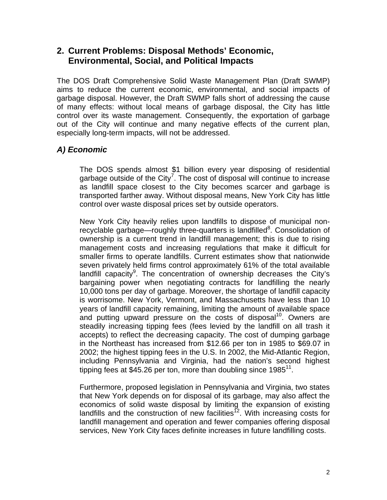## **2. Current Problems: Disposal Methods' Economic, Environmental, Social, and Political Impacts**

The DOS Draft Comprehensive Solid Waste Management Plan (Draft SWMP) aims to reduce the current economic, environmental, and social impacts of garbage disposal. However, the Draft SWMP falls short of addressing the cause of many effects: without local means of garbage disposal, the City has little control over its waste management. Consequently, the exportation of garbage out of the City will continue and many negative effects of the current plan, especially long-term impacts, will not be addressed.

## *A) Economic*

The DOS spends almost \$1 billion every year disposing of residential garbage outside of the City<sup>7</sup>. The cost of disposal will continue to increase as landfill space closest to the City becomes scarcer and garbage is transported farther away. Without disposal means, New York City has little control over waste disposal prices set by outside operators.

New York City heavily relies upon landfills to dispose of municipal nonrecyclable garbage—roughly three-quarters is landfilled<sup>8</sup>. Consolidation of ownership is a current trend in landfill management; this is due to rising management costs and increasing regulations that make it difficult for smaller firms to operate landfills. Current estimates show that nationwide seven privately held firms control approximately 61% of the total available landfill capacity<sup>9</sup>. The concentration of ownership decreases the City's bargaining power when negotiating contracts for landfilling the nearly 10,000 tons per day of garbage. Moreover, the shortage of landfill capacity is worrisome. New York, Vermont, and Massachusetts have less than 10 years of landfill capacity remaining, limiting the amount of available space and putting upward pressure on the costs of disposal<sup>10</sup>. Owners are steadily increasing tipping fees (fees levied by the landfill on all trash it accepts) to reflect the decreasing capacity. The cost of dumping garbage in the Northeast has increased from \$12.66 per ton in 1985 to \$69.07 in 2002; the highest tipping fees in the U.S. In 2002, the Mid-Atlantic Region, including Pennsylvania and Virginia, had the nation's second highest tipping fees at \$45.26 per ton, more than doubling since  $1985^{11}$ .

Furthermore, proposed legislation in Pennsylvania and Virginia, two states that New York depends on for disposal of its garbage, may also affect the economics of solid waste disposal by limiting the expansion of existing landfills and the construction of new facilities<sup>12</sup>. With increasing costs for landfill management and operation and fewer companies offering disposal services, New York City faces definite increases in future landfilling costs.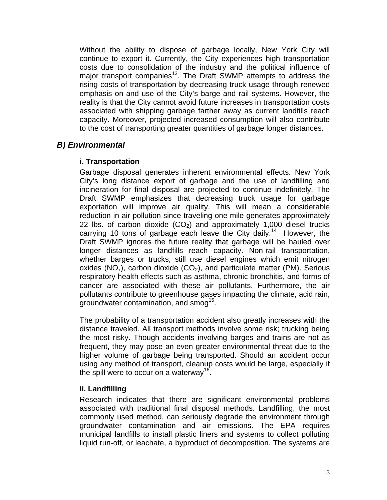Without the ability to dispose of garbage locally, New York City will continue to export it. Currently, the City experiences high transportation costs due to consolidation of the industry and the political influence of major transport companies<sup>13</sup>. The Draft SWMP attempts to address the rising costs of transportation by decreasing truck usage through renewed emphasis on and use of the City's barge and rail systems. However, the reality is that the City cannot avoid future increases in transportation costs associated with shipping garbage farther away as current landfills reach capacity. Moreover, projected increased consumption will also contribute to the cost of transporting greater quantities of garbage longer distances.

## *B) Environmental*

#### **i. Transportation**

Garbage disposal generates inherent environmental effects. New York City's long distance export of garbage and the use of landfilling and incineration for final disposal are projected to continue indefinitely. The Draft SWMP emphasizes that decreasing truck usage for garbage exportation will improve air quality. This will mean a considerable reduction in air pollution since traveling one mile generates approximately 22 lbs. of carbon dioxide  $(CO<sub>2</sub>)$  and approximately 1,000 diesel trucks carrying 10 tons of garbage each leave the City daily.<sup>14</sup> However, the Draft SWMP ignores the future reality that garbage will be hauled over longer distances as landfills reach capacity. Non-rail transportation, whether barges or trucks, still use diesel engines which emit nitrogen oxides (NO<sub>x</sub>), carbon dioxide (CO<sub>2</sub>), and particulate matter (PM). Serious respiratory health effects such as asthma, chronic bronchitis, and forms of cancer are associated with these air pollutants. Furthermore, the air pollutants contribute to greenhouse gases impacting the climate, acid rain, groundwater contamination, and smog<sup>15</sup>.

The probability of a transportation accident also greatly increases with the distance traveled. All transport methods involve some risk; trucking being the most risky. Though accidents involving barges and trains are not as frequent, they may pose an even greater environmental threat due to the higher volume of garbage being transported. Should an accident occur using any method of transport, cleanup costs would be large, especially if the spill were to occur on a waterway<sup>16</sup>.

#### **ii. Landfilling**

Research indicates that there are significant environmental problems associated with traditional final disposal methods. Landfilling, the most commonly used method, can seriously degrade the environment through groundwater contamination and air emissions. The EPA requires municipal landfills to install plastic liners and systems to collect polluting liquid run-off, or leachate, a byproduct of decomposition. The systems are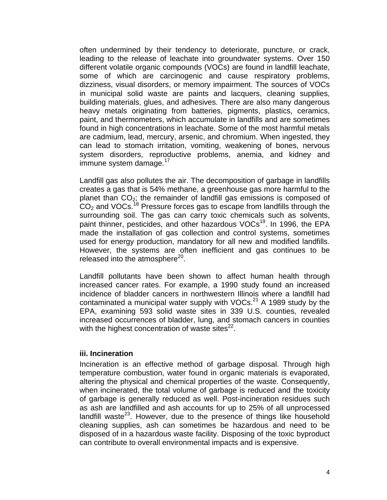often undermined by their tendency to deteriorate, puncture, or crack, leading to the release of leachate into groundwater systems. Over 150 different volatile organic compounds (VOCs) are found in landfill leachate, some of which are carcinogenic and cause respiratory problems, dizziness, visual disorders, or memory impairment. The sources of VOCs in municipal solid waste are paints and lacquers, cleaning supplies, building materials, glues, and adhesives. There are also many dangerous heavy metals originating from batteries, pigments, plastics, ceramics, paint, and thermometers, which accumulate in landfills and are sometimes found in high concentrations in leachate. Some of the most harmful metals are cadmium, lead, mercury, arsenic, and chromium. When ingested, they can lead to stomach irritation, vomiting, weakening of bones, nervous system disorders, reproductive problems, anemia, and kidney and immune system damage.<sup>17</sup>

Landfill gas also pollutes the air. The decomposition of garbage in landfills creates a gas that is 54% methane, a greenhouse gas more harmful to the planet than  $CO<sub>2</sub>$ ; the remainder of landfill gas emissions is composed of  $CO<sub>2</sub>$  and VOCs.<sup>18</sup> Pressure forces gas to escape from landfills through the surrounding soil. The gas can carry toxic chemicals such as solvents, paint thinner, pesticides, and other hazardous VOCs<sup>19</sup>. In 1996, the EPA made the installation of gas collection and control systems, sometimes used for energy production, mandatory for all new and modified landfills. However, the systems are often inefficient and gas continues to be released into the atmosphere<sup>20</sup>.

Landfill pollutants have been shown to affect human health through increased cancer rates. For example, a 1990 study found an increased incidence of bladder cancers in northwestern Illinois where a landfill had contaminated a municipal water supply with  $VOCs<sup>21</sup>$  A 1989 study by the EPA, examining 593 solid waste sites in 339 U.S. counties, revealed increased occurrences of bladder, lung, and stomach cancers in counties with the highest concentration of waste sites $^{22}$ .

#### **iii. Incineration**

Incineration is an effective method of garbage disposal. Through high temperature combustion, water found in organic materials is evaporated, altering the physical and chemical properties of the waste. Consequently, when incinerated, the total volume of garbage is reduced and the toxicity of garbage is generally reduced as well. Post-incineration residues such as ash are landfilled and ash accounts for up to 25% of all unprocessed landfill waste<sup>23</sup>. However, due to the presence of things like household cleaning supplies, ash can sometimes be hazardous and need to be disposed of in a hazardous waste facility. Disposing of the toxic byproduct can contribute to overall environmental impacts and is expensive.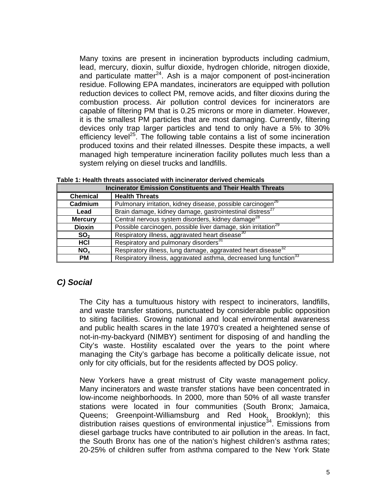Many toxins are present in incineration byproducts including cadmium, lead, mercury, dioxin, sulfur dioxide, hydrogen chloride, nitrogen dioxide, and particulate matter<sup>24</sup>. Ash is a major component of post-incineration residue. Following EPA mandates, incinerators are equipped with pollution reduction devices to collect PM, remove acids, and filter dioxins during the combustion process. Air pollution control devices for incinerators are capable of filtering PM that is 0.25 microns or more in diameter. However, it is the smallest PM particles that are most damaging. Currently, filtering devices only trap larger particles and tend to only have a 5% to 30% efficiency level<sup>25</sup>. The following table contains a list of some incineration produced toxins and their related illnesses. Despite these impacts, a well managed high temperature incineration facility pollutes much less than a system relying on diesel trucks and landfills.

**Table 1: Health threats associated with incinerator derived chemicals** 

| <b>Incinerator Emission Constituents and Their Health Threats</b>            |                                                                               |  |  |
|------------------------------------------------------------------------------|-------------------------------------------------------------------------------|--|--|
| <b>Chemical</b>                                                              | <b>Health Threats</b>                                                         |  |  |
| Cadmium                                                                      | Pulmonary irritation, kidney disease, possible carcinogen <sup>26</sup>       |  |  |
| Brain damage, kidney damage, gastrointestinal distress <sup>27</sup><br>Lead |                                                                               |  |  |
| <b>Mercury</b>                                                               | Central nervous system disorders, kidney damage <sup>28</sup>                 |  |  |
| <b>Dioxin</b>                                                                | Possible carcinogen, possible liver damage, skin irritation <sup>29</sup>     |  |  |
| SO <sub>2</sub>                                                              | Respiratory illness, aggravated heart disease <sup>30</sup>                   |  |  |
| HCI                                                                          | Respiratory and pulmonary disorders <sup>31</sup>                             |  |  |
| NO <sub>x</sub>                                                              | Respiratory illness, lung damage, aggravated heart disease <sup>32</sup>      |  |  |
| <b>PM</b>                                                                    | Respiratory illness, aggravated asthma, decreased lung function <sup>33</sup> |  |  |

#### *C) Social*

The City has a tumultuous history with respect to incinerators, landfills, and waste transfer stations, punctuated by considerable public opposition to siting facilities. Growing national and local environmental awareness and public health scares in the late 1970's created a heightened sense of not-in-my-backyard (NIMBY) sentiment for disposing of and handling the City's waste. Hostility escalated over the years to the point where managing the City's garbage has become a politically delicate issue, not only for city officials, but for the residents affected by DOS policy.

New Yorkers have a great mistrust of City waste management policy. Many incinerators and waste transfer stations have been concentrated in low-income neighborhoods. In 2000, more than 50% of all waste transfer stations were located in four communities (South Bronx; Jamaica, Queens; Greenpoint-Williamsburg and Red Hook, Brooklyn); this distribution raises questions of environmental injustice<sup>34</sup>. Emissions from diesel garbage trucks have contributed to air pollution in the areas. In fact, the South Bronx has one of the nation's highest children's asthma rates; 20-25% of children suffer from asthma compared to the New York State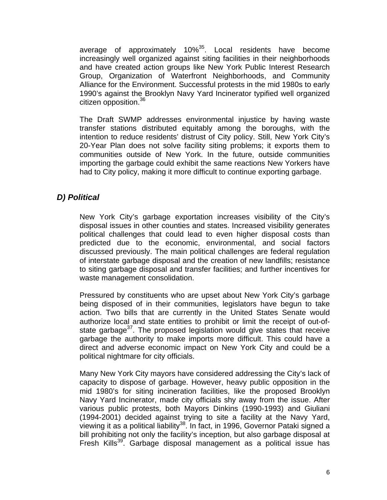average of approximately 10%<sup>35</sup>. Local residents have become increasingly well organized against siting facilities in their neighborhoods and have created action groups like New York Public Interest Research Group, Organization of Waterfront Neighborhoods, and Community Alliance for the Environment. Successful protests in the mid 1980s to early 1990's against the Brooklyn Navy Yard Incinerator typified well organized citizen opposition.<sup>36</sup>

The Draft SWMP addresses environmental injustice by having waste transfer stations distributed equitably among the boroughs, with the intention to reduce residents' distrust of City policy. Still, New York City's 20-Year Plan does not solve facility siting problems; it exports them to communities outside of New York. In the future, outside communities importing the garbage could exhibit the same reactions New Yorkers have had to City policy, making it more difficult to continue exporting garbage.

## *D) Political*

New York City's garbage exportation increases visibility of the City's disposal issues in other counties and states. Increased visibility generates political challenges that could lead to even higher disposal costs than predicted due to the economic, environmental, and social factors discussed previously. The main political challenges are federal regulation of interstate garbage disposal and the creation of new landfills; resistance to siting garbage disposal and transfer facilities; and further incentives for waste management consolidation.

Pressured by constituents who are upset about New York City's garbage being disposed of in their communities, legislators have begun to take action. Two bills that are currently in the United States Senate would authorize local and state entities to prohibit or limit the receipt of out-ofstate garbage<sup>37</sup>. The proposed legislation would give states that receive garbage the authority to make imports more difficult. This could have a direct and adverse economic impact on New York City and could be a political nightmare for city officials.

Many New York City mayors have considered addressing the City's lack of capacity to dispose of garbage. However, heavy public opposition in the mid 1980's for siting incineration facilities, like the proposed Brooklyn Navy Yard Incinerator, made city officials shy away from the issue. After various public protests, both Mayors Dinkins (1990-1993) and Giuliani (1994-2001) decided against trying to site a facility at the Navy Yard, viewing it as a political liability<sup>38</sup>. In fact, in 1996, Governor Pataki signed a bill prohibiting not only the facility's inception, but also garbage disposal at Fresh Kills<sup>39</sup>. Garbage disposal management as a political issue has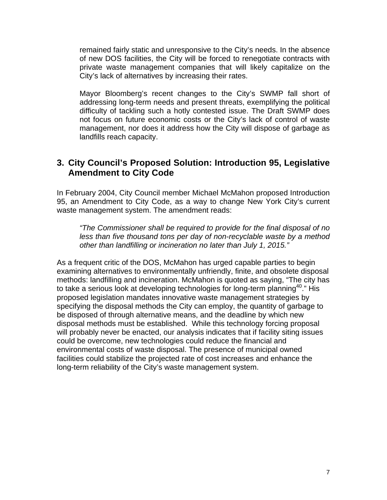remained fairly static and unresponsive to the City's needs. In the absence of new DOS facilities, the City will be forced to renegotiate contracts with private waste management companies that will likely capitalize on the City's lack of alternatives by increasing their rates.

Mayor Bloomberg's recent changes to the City's SWMP fall short of addressing long-term needs and present threats, exemplifying the political difficulty of tackling such a hotly contested issue. The Draft SWMP does not focus on future economic costs or the City's lack of control of waste management, nor does it address how the City will dispose of garbage as landfills reach capacity.

## **3. City Council's Proposed Solution: Introduction 95, Legislative Amendment to City Code**

In February 2004, City Council member Michael McMahon proposed Introduction 95, an Amendment to City Code, as a way to change New York City's current waste management system. The amendment reads:

*"The Commissioner shall be required to provide for the final disposal of no less than five thousand tons per day of non-recyclable waste by a method other than landfilling or incineration no later than July 1, 2015."*

As a frequent critic of the DOS, McMahon has urged capable parties to begin examining alternatives to environmentally unfriendly, finite, and obsolete disposal methods: landfilling and incineration. McMahon is quoted as saying, "The city has to take a serious look at developing technologies for long-term planning<sup>40</sup>." His proposed legislation mandates innovative waste management strategies by specifying the disposal methods the City can employ, the quantity of garbage to be disposed of through alternative means, and the deadline by which new disposal methods must be established. While this technology forcing proposal will probably never be enacted, our analysis indicates that if facility siting issues could be overcome, new technologies could reduce the financial and environmental costs of waste disposal. The presence of municipal owned facilities could stabilize the projected rate of cost increases and enhance the long-term reliability of the City's waste management system.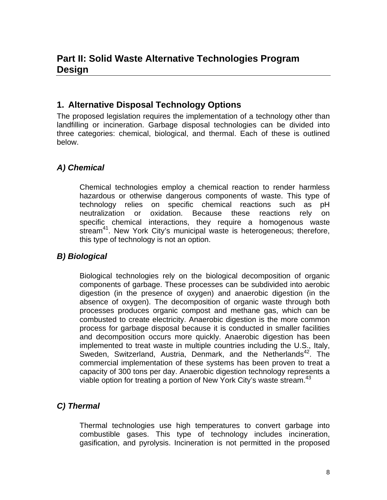## **1. Alternative Disposal Technology Options**

The proposed legislation requires the implementation of a technology other than landfilling or incineration. Garbage disposal technologies can be divided into three categories: chemical, biological, and thermal. Each of these is outlined below.

## *A) Chemical*

Chemical technologies employ a chemical reaction to render harmless hazardous or otherwise dangerous components of waste. This type of technology relies on specific chemical reactions such as pH neutralization or oxidation. Because these reactions rely on specific chemical interactions, they require a homogenous waste stream<sup>41</sup>. New York City's municipal waste is heterogeneous; therefore, this type of technology is not an option.

## *B) Biological*

Biological technologies rely on the biological decomposition of organic components of garbage. These processes can be subdivided into aerobic digestion (in the presence of oxygen) and anaerobic digestion (in the absence of oxygen). The decomposition of organic waste through both processes produces organic compost and methane gas, which can be combusted to create electricity. Anaerobic digestion is the more common process for garbage disposal because it is conducted in smaller facilities and decomposition occurs more quickly. Anaerobic digestion has been implemented to treat waste in multiple countries including the U.S., Italy, Sweden, Switzerland, Austria, Denmark, and the Netherlands<sup>42</sup>. The commercial implementation of these systems has been proven to treat a capacity of 300 tons per day. Anaerobic digestion technology represents a viable option for treating a portion of New York City's waste stream.<sup>43</sup>

## *C) Thermal*

Thermal technologies use high temperatures to convert garbage into combustible gases. This type of technology includes incineration, gasification, and pyrolysis. Incineration is not permitted in the proposed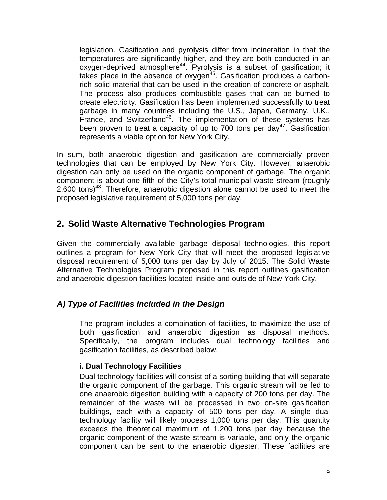legislation. Gasification and pyrolysis differ from incineration in that the temperatures are significantly higher, and they are both conducted in an oxygen-deprived atmosphere<sup>44</sup>. Pyrolysis is a subset of gasification; it takes place in the absence of oxygen<sup> $45$ </sup>. Gasification produces a carbonrich solid material that can be used in the creation of concrete or asphalt. The process also produces combustible gases that can be burned to create electricity. Gasification has been implemented successfully to treat garbage in many countries including the U.S., Japan, Germany, U.K., France, and Switzerland<sup>46</sup>. The implementation of these systems has been proven to treat a capacity of up to 700 tons per day<sup>47</sup>. Gasification represents a viable option for New York City.

In sum, both anaerobic digestion and gasification are commercially proven technologies that can be employed by New York City. However, anaerobic digestion can only be used on the organic component of garbage. The organic component is about one fifth of the City's total municipal waste stream (roughly  $2,600$  tons)<sup>48</sup>. Therefore, anaerobic digestion alone cannot be used to meet the proposed legislative requirement of 5,000 tons per day.

## **2. Solid Waste Alternative Technologies Program**

Given the commercially available garbage disposal technologies, this report outlines a program for New York City that will meet the proposed legislative disposal requirement of 5,000 tons per day by July of 2015. The Solid Waste Alternative Technologies Program proposed in this report outlines gasification and anaerobic digestion facilities located inside and outside of New York City.

## *A) Type of Facilities Included in the Design*

The program includes a combination of facilities, to maximize the use of both gasification and anaerobic digestion as disposal methods. Specifically, the program includes dual technology facilities and gasification facilities, as described below.

#### **i. Dual Technology Facilities**

Dual technology facilities will consist of a sorting building that will separate the organic component of the garbage. This organic stream will be fed to one anaerobic digestion building with a capacity of 200 tons per day. The remainder of the waste will be processed in two on-site gasification buildings, each with a capacity of 500 tons per day. A single dual technology facility will likely process 1,000 tons per day. This quantity exceeds the theoretical maximum of 1,200 tons per day because the organic component of the waste stream is variable, and only the organic component can be sent to the anaerobic digester. These facilities are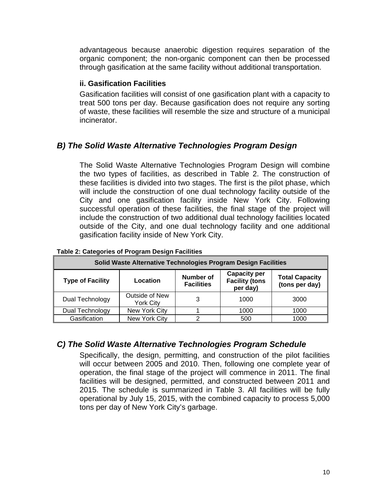advantageous because anaerobic digestion requires separation of the organic component; the non-organic component can then be processed through gasification at the same facility without additional transportation.

#### **ii. Gasification Facilities**

Gasification facilities will consist of one gasification plant with a capacity to treat 500 tons per day. Because gasification does not require any sorting of waste, these facilities will resemble the size and structure of a municipal incinerator.

## *B) The Solid Waste Alternative Technologies Program Design*

The Solid Waste Alternative Technologies Program Design will combine the two types of facilities, as described in Table 2. The construction of these facilities is divided into two stages. The first is the pilot phase, which will include the construction of one dual technology facility outside of the City and one gasification facility inside New York City. Following successful operation of these facilities, the final stage of the project will include the construction of two additional dual technology facilities located outside of the City, and one dual technology facility and one additional gasification facility inside of New York City.

| Solid Waste Alternative Technologies Program Design Facilities |                                    |                                       |                                                          |                                         |  |
|----------------------------------------------------------------|------------------------------------|---------------------------------------|----------------------------------------------------------|-----------------------------------------|--|
| <b>Type of Facility</b>                                        | Location                           | <b>Number of</b><br><b>Facilities</b> | <b>Capacity per</b><br><b>Facility (tons</b><br>per day) | <b>Total Capacity</b><br>(tons per day) |  |
| Dual Technology                                                | Outside of New<br><b>York City</b> | 3                                     | 1000                                                     | 3000                                    |  |
| Dual Technology                                                | New York City                      |                                       | 1000                                                     | 1000                                    |  |
| Gasification                                                   | New York City                      |                                       | 500                                                      | 1000                                    |  |

#### **Table 2: Categories of Program Design Facilities**

#### *C) The Solid Waste Alternative Technologies Program Schedule*

Specifically, the design, permitting, and construction of the pilot facilities will occur between 2005 and 2010. Then, following one complete year of operation, the final stage of the project will commence in 2011. The final facilities will be designed, permitted, and constructed between 2011 and 2015. The schedule is summarized in Table 3. All facilities will be fully operational by July 15, 2015, with the combined capacity to process 5,000 tons per day of New York City's garbage.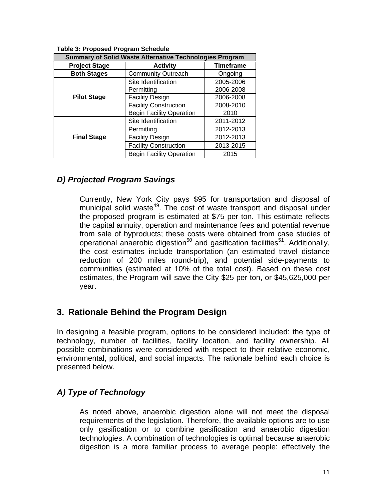| <b>Summary of Solid Waste Alternative Technologies Program</b> |                                 |                  |
|----------------------------------------------------------------|---------------------------------|------------------|
| <b>Project Stage</b>                                           | <b>Activity</b>                 | <b>Timeframe</b> |
| <b>Both Stages</b>                                             | <b>Community Outreach</b>       | Ongoing          |
|                                                                | Site Identification             | 2005-2006        |
|                                                                | Permitting                      | 2006-2008        |
| <b>Pilot Stage</b>                                             | <b>Facility Design</b>          | 2006-2008        |
|                                                                | <b>Facility Construction</b>    | 2008-2010        |
|                                                                | <b>Begin Facility Operation</b> | 2010             |
|                                                                | Site Identification             | 2011-2012        |
|                                                                | Permitting                      | 2012-2013        |
| <b>Final Stage</b>                                             | <b>Facility Design</b>          | 2012-2013        |
|                                                                | <b>Facility Construction</b>    | 2013-2015        |
|                                                                | <b>Begin Facility Operation</b> | 2015             |

**Table 3: Proposed Program Schedule** 

#### *D) Projected Program Savings*

Currently, New York City pays \$95 for transportation and disposal of municipal solid waste<sup>49</sup>. The cost of waste transport and disposal under the proposed program is estimated at \$75 per ton. This estimate reflects the capital annuity, operation and maintenance fees and potential revenue from sale of byproducts; these costs were obtained from case studies of operational anaerobic digestion<sup>50</sup> and gasification facilities<sup>51</sup>. Additionally, the cost estimates include transportation (an estimated travel distance reduction of 200 miles round-trip), and potential side-payments to communities (estimated at 10% of the total cost). Based on these cost estimates, the Program will save the City \$25 per ton, or \$45,625,000 per year.

## **3. Rationale Behind the Program Design**

In designing a feasible program, options to be considered included: the type of technology, number of facilities, facility location, and facility ownership. All possible combinations were considered with respect to their relative economic, environmental, political, and social impacts. The rationale behind each choice is presented below.

## *A) Type of Technology*

As noted above, anaerobic digestion alone will not meet the disposal requirements of the legislation. Therefore, the available options are to use only gasification or to combine gasification and anaerobic digestion technologies. A combination of technologies is optimal because anaerobic digestion is a more familiar process to average people: effectively the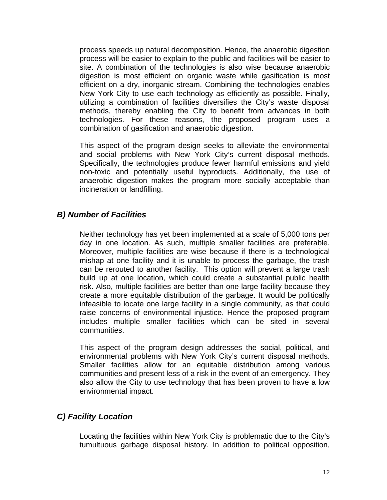process speeds up natural decomposition. Hence, the anaerobic digestion process will be easier to explain to the public and facilities will be easier to site. A combination of the technologies is also wise because anaerobic digestion is most efficient on organic waste while gasification is most efficient on a dry, inorganic stream. Combining the technologies enables New York City to use each technology as efficiently as possible. Finally, utilizing a combination of facilities diversifies the City's waste disposal methods, thereby enabling the City to benefit from advances in both technologies. For these reasons, the proposed program uses a combination of gasification and anaerobic digestion.

This aspect of the program design seeks to alleviate the environmental and social problems with New York City's current disposal methods. Specifically, the technologies produce fewer harmful emissions and yield non-toxic and potentially useful byproducts. Additionally, the use of anaerobic digestion makes the program more socially acceptable than incineration or landfilling.

#### *B) Number of Facilities*

Neither technology has yet been implemented at a scale of 5,000 tons per day in one location. As such, multiple smaller facilities are preferable. Moreover, multiple facilities are wise because if there is a technological mishap at one facility and it is unable to process the garbage, the trash can be rerouted to another facility. This option will prevent a large trash build up at one location, which could create a substantial public health risk. Also, multiple facilities are better than one large facility because they create a more equitable distribution of the garbage. It would be politically infeasible to locate one large facility in a single community, as that could raise concerns of environmental injustice. Hence the proposed program includes multiple smaller facilities which can be sited in several communities.

This aspect of the program design addresses the social, political, and environmental problems with New York City's current disposal methods. Smaller facilities allow for an equitable distribution among various communities and present less of a risk in the event of an emergency. They also allow the City to use technology that has been proven to have a low environmental impact.

## *C) Facility Location*

Locating the facilities within New York City is problematic due to the City's tumultuous garbage disposal history. In addition to political opposition,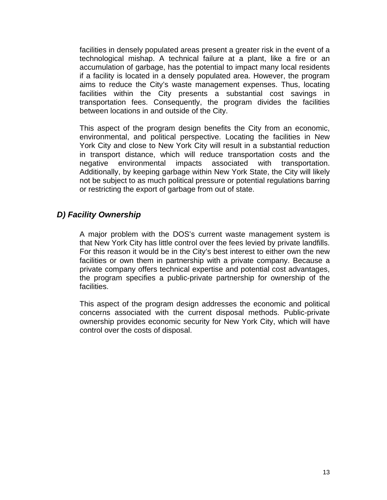facilities in densely populated areas present a greater risk in the event of a technological mishap. A technical failure at a plant, like a fire or an accumulation of garbage, has the potential to impact many local residents if a facility is located in a densely populated area. However, the program aims to reduce the City's waste management expenses. Thus, locating facilities within the City presents a substantial cost savings in transportation fees. Consequently, the program divides the facilities between locations in and outside of the City.

This aspect of the program design benefits the City from an economic, environmental, and political perspective. Locating the facilities in New York City and close to New York City will result in a substantial reduction in transport distance, which will reduce transportation costs and the negative environmental impacts associated with transportation. Additionally, by keeping garbage within New York State, the City will likely not be subject to as much political pressure or potential regulations barring or restricting the export of garbage from out of state.

## *D) Facility Ownership*

A major problem with the DOS's current waste management system is that New York City has little control over the fees levied by private landfills. For this reason it would be in the City's best interest to either own the new facilities or own them in partnership with a private company. Because a private company offers technical expertise and potential cost advantages, the program specifies a public-private partnership for ownership of the facilities.

This aspect of the program design addresses the economic and political concerns associated with the current disposal methods. Public-private ownership provides economic security for New York City, which will have control over the costs of disposal.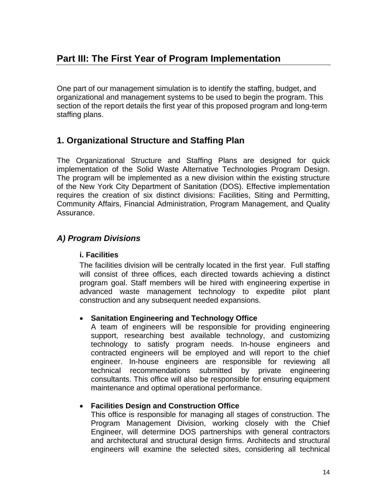One part of our management simulation is to identify the staffing, budget, and organizational and management systems to be used to begin the program. This section of the report details the first year of this proposed program and long-term staffing plans.

## **1. Organizational Structure and Staffing Plan**

The Organizational Structure and Staffing Plans are designed for quick implementation of the Solid Waste Alternative Technologies Program Design. The program will be implemented as a new division within the existing structure of the New York City Department of Sanitation (DOS). Effective implementation requires the creation of six distinct divisions: Facilities, Siting and Permitting, Community Affairs, Financial Administration, Program Management, and Quality Assurance.

## *A) Program Divisions*

#### **i. Facilities**

The facilities division will be centrally located in the first year. Full staffing will consist of three offices, each directed towards achieving a distinct program goal. Staff members will be hired with engineering expertise in advanced waste management technology to expedite pilot plant construction and any subsequent needed expansions.

#### • **Sanitation Engineering and Technology Office**

A team of engineers will be responsible for providing engineering support, researching best available technology, and customizing technology to satisfy program needs. In-house engineers and contracted engineers will be employed and will report to the chief engineer. In-house engineers are responsible for reviewing all technical recommendations submitted by private engineering consultants. This office will also be responsible for ensuring equipment maintenance and optimal operational performance.

#### • **Facilities Design and Construction Office**

This office is responsible for managing all stages of construction. The Program Management Division, working closely with the Chief Engineer, will determine DOS partnerships with general contractors and architectural and structural design firms. Architects and structural engineers will examine the selected sites, considering all technical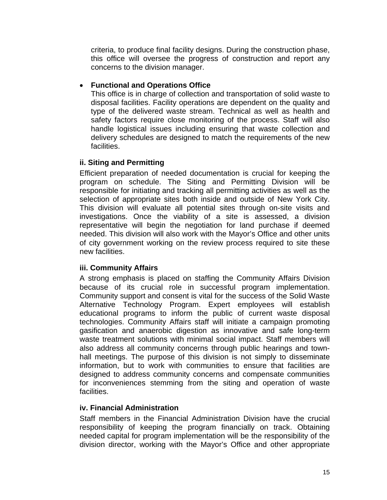criteria, to produce final facility designs. During the construction phase, this office will oversee the progress of construction and report any concerns to the division manager.

#### • **Functional and Operations Office**

This office is in charge of collection and transportation of solid waste to disposal facilities. Facility operations are dependent on the quality and type of the delivered waste stream. Technical as well as health and safety factors require close monitoring of the process. Staff will also handle logistical issues including ensuring that waste collection and delivery schedules are designed to match the requirements of the new facilities.

#### **ii. Siting and Permitting**

Efficient preparation of needed documentation is crucial for keeping the program on schedule. The Siting and Permitting Division will be responsible for initiating and tracking all permitting activities as well as the selection of appropriate sites both inside and outside of New York City. This division will evaluate all potential sites through on-site visits and investigations. Once the viability of a site is assessed, a division representative will begin the negotiation for land purchase if deemed needed. This division will also work with the Mayor's Office and other units of city government working on the review process required to site these new facilities.

#### **iii. Community Affairs**

A strong emphasis is placed on staffing the Community Affairs Division because of its crucial role in successful program implementation. Community support and consent is vital for the success of the Solid Waste Alternative Technology Program. Expert employees will establish educational programs to inform the public of current waste disposal technologies. Community Affairs staff will initiate a campaign promoting gasification and anaerobic digestion as innovative and safe long-term waste treatment solutions with minimal social impact. Staff members will also address all community concerns through public hearings and townhall meetings. The purpose of this division is not simply to disseminate information, but to work with communities to ensure that facilities are designed to address community concerns and compensate communities for inconveniences stemming from the siting and operation of waste facilities.

#### **iv. Financial Administration**

Staff members in the Financial Administration Division have the crucial responsibility of keeping the program financially on track. Obtaining needed capital for program implementation will be the responsibility of the division director, working with the Mayor's Office and other appropriate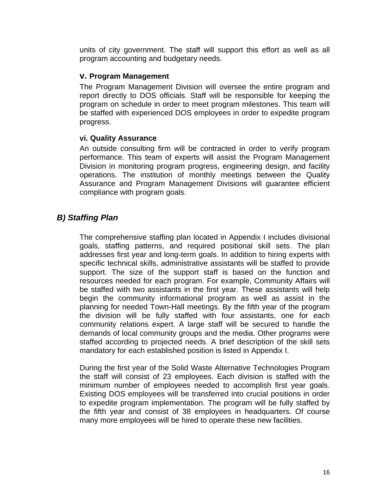units of city government. The staff will support this effort as well as all program accounting and budgetary needs.

#### **v. Program Management**

The Program Management Division will oversee the entire program and report directly to DOS officials. Staff will be responsible for keeping the program on schedule in order to meet program milestones. This team will be staffed with experienced DOS employees in order to expedite program progress.

#### **vi. Quality Assurance**

An outside consulting firm will be contracted in order to verify program performance. This team of experts will assist the Program Management Division in monitoring program progress, engineering design, and facility operations. The institution of monthly meetings between the Quality Assurance and Program Management Divisions will guarantee efficient compliance with program goals.

## *B) Staffing Plan*

The comprehensive staffing plan located in Appendix I includes divisional goals, staffing patterns, and required positional skill sets. The plan addresses first year and long-term goals. In addition to hiring experts with specific technical skills, administrative assistants will be staffed to provide support. The size of the support staff is based on the function and resources needed for each program. For example, Community Affairs will be staffed with two assistants in the first year. These assistants will help begin the community informational program as well as assist in the planning for needed Town-Hall meetings. By the fifth year of the program the division will be fully staffed with four assistants, one for each community relations expert. A large staff will be secured to handle the demands of local community groups and the media. Other programs were staffed according to projected needs. A brief description of the skill sets mandatory for each established position is listed in Appendix I.

During the first year of the Solid Waste Alternative Technologies Program the staff will consist of 23 employees. Each division is staffed with the minimum number of employees needed to accomplish first year goals. Existing DOS employees will be transferred into crucial positions in order to expedite program implementation. The program will be fully staffed by the fifth year and consist of 38 employees in headquarters. Of course many more employees will be hired to operate these new facilities.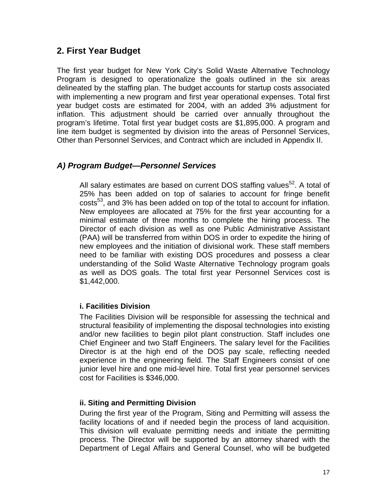## **2. First Year Budget**

The first year budget for New York City's Solid Waste Alternative Technology Program is designed to operationalize the goals outlined in the six areas delineated by the staffing plan. The budget accounts for startup costs associated with implementing a new program and first year operational expenses. Total first year budget costs are estimated for 2004, with an added 3% adjustment for inflation. This adjustment should be carried over annually throughout the program's lifetime. Total first year budget costs are \$1,895,000. A program and line item budget is segmented by division into the areas of Personnel Services, Other than Personnel Services, and Contract which are included in Appendix II.

#### *A) Program Budget—Personnel Services*

All salary estimates are based on current DOS staffing values<sup>52</sup>. A total of 25% has been added on top of salaries to account for fringe benefit costs<sup>53</sup>, and 3% has been added on top of the total to account for inflation. New employees are allocated at 75% for the first year accounting for a minimal estimate of three months to complete the hiring process. The Director of each division as well as one Public Administrative Assistant (PAA) will be transferred from within DOS in order to expedite the hiring of new employees and the initiation of divisional work. These staff members need to be familiar with existing DOS procedures and possess a clear understanding of the Solid Waste Alternative Technology program goals as well as DOS goals. The total first year Personnel Services cost is \$1,442,000.

#### **i. Facilities Division**

The Facilities Division will be responsible for assessing the technical and structural feasibility of implementing the disposal technologies into existing and/or new facilities to begin pilot plant construction. Staff includes one Chief Engineer and two Staff Engineers. The salary level for the Facilities Director is at the high end of the DOS pay scale, reflecting needed experience in the engineering field. The Staff Engineers consist of one junior level hire and one mid-level hire. Total first year personnel services cost for Facilities is \$346,000.

#### **ii. Siting and Permitting Division**

During the first year of the Program, Siting and Permitting will assess the facility locations of and if needed begin the process of land acquisition. This division will evaluate permitting needs and initiate the permitting process. The Director will be supported by an attorney shared with the Department of Legal Affairs and General Counsel, who will be budgeted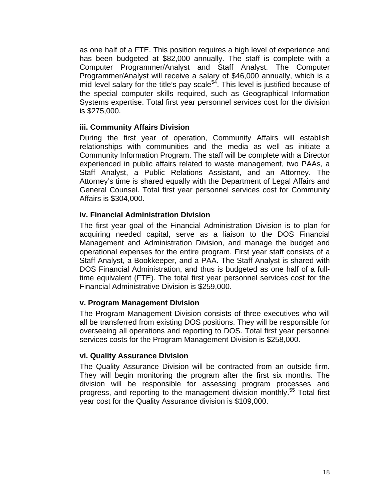as one half of a FTE. This position requires a high level of experience and has been budgeted at \$82,000 annually. The staff is complete with a Computer Programmer/Analyst and Staff Analyst. The Computer Programmer/Analyst will receive a salary of \$46,000 annually, which is a mid-level salary for the title's pay scale $54$ . This level is justified because of the special computer skills required, such as Geographical Information Systems expertise. Total first year personnel services cost for the division is \$275,000.

#### **iii. Community Affairs Division**

During the first year of operation, Community Affairs will establish relationships with communities and the media as well as initiate a Community Information Program. The staff will be complete with a Director experienced in public affairs related to waste management, two PAAs, a Staff Analyst, a Public Relations Assistant, and an Attorney. The Attorney's time is shared equally with the Department of Legal Affairs and General Counsel. Total first year personnel services cost for Community Affairs is \$304,000.

#### **iv. Financial Administration Division**

The first year goal of the Financial Administration Division is to plan for acquiring needed capital, serve as a liaison to the DOS Financial Management and Administration Division, and manage the budget and operational expenses for the entire program. First year staff consists of a Staff Analyst, a Bookkeeper, and a PAA. The Staff Analyst is shared with DOS Financial Administration, and thus is budgeted as one half of a fulltime equivalent (FTE). The total first year personnel services cost for the Financial Administrative Division is \$259,000.

#### **v. Program Management Division**

The Program Management Division consists of three executives who will all be transferred from existing DOS positions. They will be responsible for overseeing all operations and reporting to DOS. Total first year personnel services costs for the Program Management Division is \$258,000.

#### **vi. Quality Assurance Division**

The Quality Assurance Division will be contracted from an outside firm. They will begin monitoring the program after the first six months. The division will be responsible for assessing program processes and progress, and reporting to the management division monthly.<sup>55</sup> Total first year cost for the Quality Assurance division is \$109,000.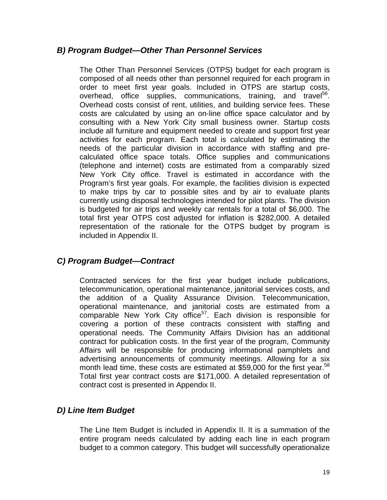#### *B) Program Budget—Other Than Personnel Services*

The Other Than Personnel Services (OTPS) budget for each program is composed of all needs other than personnel required for each program in order to meet first year goals. Included in OTPS are startup costs, overhead, office supplies, communications, training, and travel<sup>56</sup>. Overhead costs consist of rent, utilities, and building service fees. These costs are calculated by using an on-line office space calculator and by consulting with a New York City small business owner. Startup costs include all furniture and equipment needed to create and support first year activities for each program. Each total is calculated by estimating the needs of the particular division in accordance with staffing and precalculated office space totals. Office supplies and communications (telephone and internet) costs are estimated from a comparably sized New York City office. Travel is estimated in accordance with the Program's first year goals. For example, the facilities division is expected to make trips by car to possible sites and by air to evaluate plants currently using disposal technologies intended for pilot plants. The division is budgeted for air trips and weekly car rentals for a total of \$6,000. The total first year OTPS cost adjusted for inflation is \$282,000. A detailed representation of the rationale for the OTPS budget by program is included in Appendix II.

## *C) Program Budget—Contract*

Contracted services for the first year budget include publications, telecommunication, operational maintenance, janitorial services costs, and the addition of a Quality Assurance Division. Telecommunication, operational maintenance, and janitorial costs are estimated from a comparable New York City office<sup>57</sup>. Each division is responsible for covering a portion of these contracts consistent with staffing and operational needs. The Community Affairs Division has an additional contract for publication costs. In the first year of the program, Community Affairs will be responsible for producing informational pamphlets and advertising announcements of community meetings. Allowing for a six month lead time, these costs are estimated at \$59,000 for the first year.<sup>58</sup> Total first year contract costs are \$171,000. A detailed representation of contract cost is presented in Appendix II.

## *D) Line Item Budget*

The Line Item Budget is included in Appendix II. It is a summation of the entire program needs calculated by adding each line in each program budget to a common category. This budget will successfully operationalize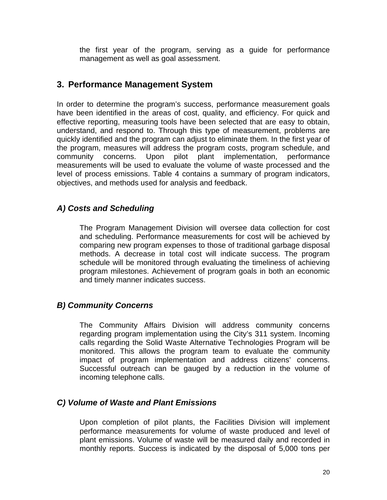the first year of the program, serving as a guide for performance management as well as goal assessment.

## **3. Performance Management System**

In order to determine the program's success, performance measurement goals have been identified in the areas of cost, quality, and efficiency. For quick and effective reporting, measuring tools have been selected that are easy to obtain, understand, and respond to. Through this type of measurement, problems are quickly identified and the program can adjust to eliminate them. In the first year of the program, measures will address the program costs, program schedule, and community concerns. Upon pilot plant implementation, performance measurements will be used to evaluate the volume of waste processed and the level of process emissions. Table 4 contains a summary of program indicators, objectives, and methods used for analysis and feedback.

## *A) Costs and Scheduling*

The Program Management Division will oversee data collection for cost and scheduling. Performance measurements for cost will be achieved by comparing new program expenses to those of traditional garbage disposal methods. A decrease in total cost will indicate success. The program schedule will be monitored through evaluating the timeliness of achieving program milestones. Achievement of program goals in both an economic and timely manner indicates success.

#### *B) Community Concerns*

The Community Affairs Division will address community concerns regarding program implementation using the City's 311 system. Incoming calls regarding the Solid Waste Alternative Technologies Program will be monitored. This allows the program team to evaluate the community impact of program implementation and address citizens' concerns. Successful outreach can be gauged by a reduction in the volume of incoming telephone calls.

## *C) Volume of Waste and Plant Emissions*

Upon completion of pilot plants, the Facilities Division will implement performance measurements for volume of waste produced and level of plant emissions. Volume of waste will be measured daily and recorded in monthly reports. Success is indicated by the disposal of 5,000 tons per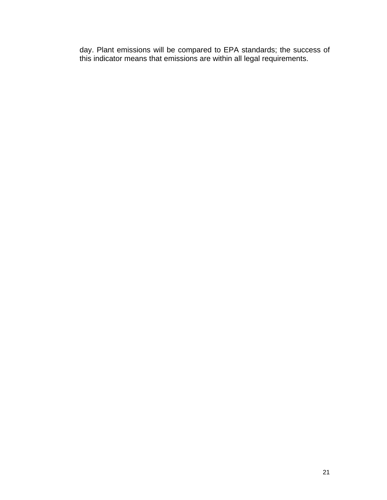day. Plant emissions will be compared to EPA standards; the success of this indicator means that emissions are within all legal requirements.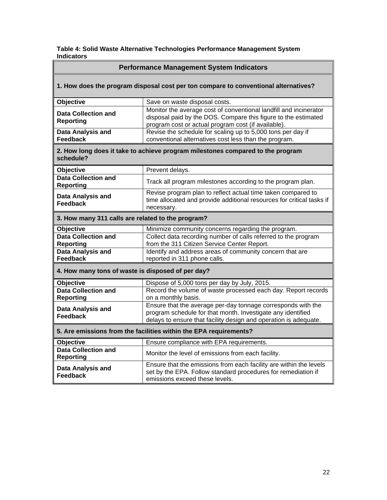| Table 4: Solid Waste Alternative Technologies Performance Management System |  |
|-----------------------------------------------------------------------------|--|
| <b>Indicators</b>                                                           |  |

| <b>Performance Management System Indicators</b>                                             |                                                                                                                                                                                                 |  |  |
|---------------------------------------------------------------------------------------------|-------------------------------------------------------------------------------------------------------------------------------------------------------------------------------------------------|--|--|
| 1. How does the program disposal cost per ton compare to conventional alternatives?         |                                                                                                                                                                                                 |  |  |
| Objective                                                                                   | Save on waste disposal costs.                                                                                                                                                                   |  |  |
| Data Collection and<br><b>Reporting</b>                                                     | Monitor the average cost of conventional landfill and incinerator<br>disposal paid by the DOS. Compare this figure to the estimated<br>program cost or actual program cost (if available).      |  |  |
| Data Analysis and<br><b>Feedback</b>                                                        | Revise the schedule for scaling up to 5,000 tons per day if<br>conventional alternatives cost less than the program.                                                                            |  |  |
| 2. How long does it take to achieve program milestones compared to the program<br>schedule? |                                                                                                                                                                                                 |  |  |
| <b>Objective</b>                                                                            | Prevent delays.                                                                                                                                                                                 |  |  |
| <b>Data Collection and</b><br><b>Reporting</b>                                              | Track all program milestones according to the program plan.                                                                                                                                     |  |  |
| Data Analysis and<br><b>Feedback</b>                                                        | Revise program plan to reflect actual time taken compared to<br>time allocated and provide additional resources for critical tasks if<br>necessary.                                             |  |  |
| 3. How many 311 calls are related to the program?                                           |                                                                                                                                                                                                 |  |  |
| <b>Objective</b>                                                                            | Minimize community concerns regarding the program.                                                                                                                                              |  |  |
| <b>Data Collection and</b><br><b>Reporting</b>                                              | Collect data recording number of calls referred to the program<br>from the 311 Citizen Service Center Report.                                                                                   |  |  |
| <b>Data Analysis and</b><br>Feedback                                                        | Identify and address areas of community concern that are<br>reported in 311 phone calls.                                                                                                        |  |  |
| 4. How many tons of waste is disposed of per day?                                           |                                                                                                                                                                                                 |  |  |
| Objective                                                                                   | Dispose of 5,000 tons per day by July, 2015.                                                                                                                                                    |  |  |
| <b>Data Collection and</b><br><b>Reporting</b>                                              | Record the volume of waste processed each day. Report records<br>on a monthly basis.                                                                                                            |  |  |
| Data Analysis and<br><b>Feedback</b>                                                        | Ensure that the average per-day tonnage corresponds with the<br>program schedule for that month. Investigate any identified<br>delays to ensure that facility design and operation is adequate. |  |  |
| 5. Are emissions from the facilities within the EPA requirements?                           |                                                                                                                                                                                                 |  |  |
| <b>Objective</b>                                                                            | Ensure compliance with EPA requirements.                                                                                                                                                        |  |  |
| <b>Data Collection and</b><br><b>Reporting</b>                                              | Monitor the level of emissions from each facility.                                                                                                                                              |  |  |
| Data Analysis and<br><b>Feedback</b>                                                        | Ensure that the emissions from each facility are within the levels<br>set by the EPA. Follow standard procedures for remediation if<br>emissions exceed these levels.                           |  |  |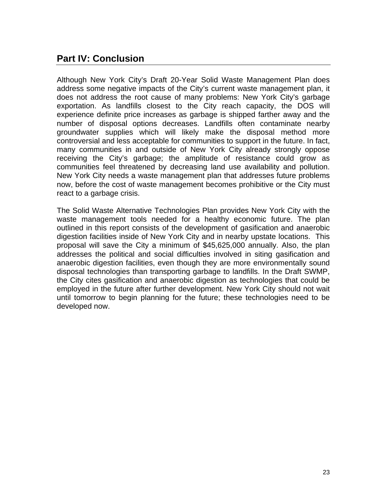## **Part IV: Conclusion**

Although New York City's Draft 20-Year Solid Waste Management Plan does address some negative impacts of the City's current waste management plan, it does not address the root cause of many problems: New York City's garbage exportation. As landfills closest to the City reach capacity, the DOS will experience definite price increases as garbage is shipped farther away and the number of disposal options decreases. Landfills often contaminate nearby groundwater supplies which will likely make the disposal method more controversial and less acceptable for communities to support in the future. In fact, many communities in and outside of New York City already strongly oppose receiving the City's garbage; the amplitude of resistance could grow as communities feel threatened by decreasing land use availability and pollution. New York City needs a waste management plan that addresses future problems now, before the cost of waste management becomes prohibitive or the City must react to a garbage crisis.

The Solid Waste Alternative Technologies Plan provides New York City with the waste management tools needed for a healthy economic future. The plan outlined in this report consists of the development of gasification and anaerobic digestion facilities inside of New York City and in nearby upstate locations. This proposal will save the City a minimum of \$45,625,000 annually. Also, the plan addresses the political and social difficulties involved in siting gasification and anaerobic digestion facilities, even though they are more environmentally sound disposal technologies than transporting garbage to landfills. In the Draft SWMP, the City cites gasification and anaerobic digestion as technologies that could be employed in the future after further development. New York City should not wait until tomorrow to begin planning for the future; these technologies need to be developed now.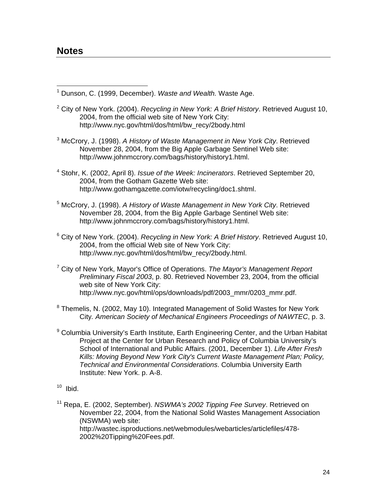$\overline{a}$ 

1 Dunson, C. (1999, December). *Waste and Wealth.* Waste Age.

- 2 City of New York. (2004). *Recycling in New York: A Brief History*. Retrieved August 10, 2004, from the official web site of New York City: http://www.nyc.gov/html/dos/html/bw\_recy/2body.html
- 3 McCrory, J. (1998). *A History of Waste Management in New York City*. Retrieved November 28, 2004, from the Big Apple Garbage Sentinel Web site: http://www.johnmccrory.com/bags/history/history1.html.
- 4 Stohr, K. (2002, April 8). *Issue of the Week: Incinerators*. Retrieved September 20, 2004, from the Gotham Gazette Web site: http://www.gothamgazette.com/iotw/recycling/doc1.shtml.
- 5 McCrory, J. (1998). *A History of Waste Management in New York City*. Retrieved November 28, 2004, from the Big Apple Garbage Sentinel Web site: http://www.johnmccrory.com/bags/history/history1.html.
- 6 City of New York. (2004). *Recycling in New York: A Brief History*. Retrieved August 10, 2004, from the official Web site of New York City: http://www.nyc.gov/html/dos/html/bw\_recy/2body.html.
- 7 City of New York, Mayor's Office of Operations. *The Mayor's Management Report Preliminary Fiscal 2003*, p. 80. Retrieved November 23, 2004, from the official web site of New York City: http://www.nyc.gov/html/ops/downloads/pdf/2003\_mmr/0203\_mmr.pdf.
- <sup>8</sup> Themelis, N. (2002, May 10). Integrated Management of Solid Wastes for New York City*. American Society of Mechanical Engineers Proceedings of NAWTEC*, p. 3.
- <sup>9</sup> Columbia University's Earth Institute, Earth Engineering Center, and the Urban Habitat Project at the Center for Urban Research and Policy of Columbia University's School of International and Public Affairs. (2001, December 1). *Life After Fresh Kills: Moving Beyond New York City's Current Waste Management Plan; Policy, Technical and Environmental Considerations*. Columbia University Earth Institute: New York. p. A-8.
- $10$  Ibid.

11 Repa, E. (2002, September). *NSWMA's 2002 Tipping Fee Survey*. Retrieved on November 22, 2004, from the National Solid Wastes Management Association (NSWMA) web site: http://wastec.isproductions.net/webmodules/webarticles/articlefiles/478- 2002%20Tipping%20Fees.pdf.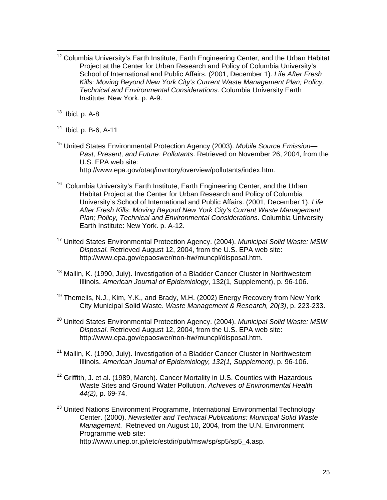- <sup>12</sup> Columbia University's Earth Institute, Earth Engineering Center, and the Urban Habitat Project at the Center for Urban Research and Policy of Columbia University's School of International and Public Affairs. (2001, December 1). *Life After Fresh Kills: Moving Beyond New York City's Current Waste Management Plan; Policy, Technical and Environmental Considerations*. Columbia University Earth Institute: New York. p. A-9.
- $13$  Ibid, p. A-8
- 14 Ibid, p. B-6, A-11
- 15 United States Environmental Protection Agency (2003). *Mobile Source Emission— Past, Present, and Future: Pollutants*. Retrieved on November 26, 2004, from the U.S. EPA web site: http://www.epa.gov/otaq/invntory/overview/pollutants/index.htm.
- <sup>16</sup> Columbia University's Earth Institute, Earth Engineering Center, and the Urban Habitat Project at the Center for Urban Research and Policy of Columbia University's School of International and Public Affairs. (2001, December 1). *Life After Fresh Kills: Moving Beyond New York City's Current Waste Management Plan; Policy, Technical and Environmental Considerations*. Columbia University Earth Institute: New York. p. A-12.
- 17 United States Environmental Protection Agency. (2004). *Municipal Solid Waste: MSW Disposal.* Retrieved August 12, 2004, from the U.S. EPA web site: http://www.epa.gov/epaoswer/non-hw/muncpl/disposal.htm.
- <sup>18</sup> Mallin, K. (1990, July). Investigation of a Bladder Cancer Cluster in Northwestern Illinois. *American Journal of Epidemiology*, 132(1, Supplement), p. 96-106.
- $19$  Themelis, N.J., Kim, Y.K., and Brady, M.H. (2002) Energy Recovery from New York City Municipal Solid Waste. *Waste Management & Research, 20(3)*, p. 223-233.
- 20 United States Environmental Protection Agency. (2004). *Municipal Solid Waste: MSW Disposal*. Retrieved August 12, 2004, from the U.S. EPA web site: http://www.epa.gov/epaoswer/non-hw/muncpl/disposal.htm.
- <sup>21</sup> Mallin, K. (1990, July). Investigation of a Bladder Cancer Cluster in Northwestern Illinois. *American Journal of Epidemiology, 132(1, Supplement)*, p. 96-106.
- $22$  Griffith, J. et al. (1989, March). Cancer Mortality in U.S. Counties with Hazardous Waste Sites and Ground Water Pollution. *Achieves of Environmental Health 44(2)*, p. 69-74.
- <sup>23</sup> United Nations Environment Programme, International Environmental Technology Center. (2000). *Newsletter and Technical Publications: Municipal Solid Waste Management*. Retrieved on August 10, 2004, from the U.N. Environment Programme web site: http://www.unep.or.jp/ietc/estdir/pub/msw/sp/sp5/sp5\_4.asp.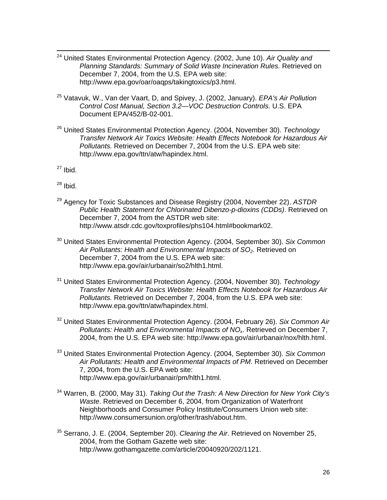- 24 United States Environmental Protection Agency. (2002, June 10). *Air Quality and*  **Planning Standards: Summary of Solid Waste Incineration Rules. Retrieved on** December 7, 2004, from the U.S. EPA web site: http://www.epa.gov/oar/oaqps/takingtoxics/p3.html.
- 25 Vatavuk, W., Van der Vaart, D, and Spivey, J. (2002, January). *EPA's Air Pollution Control Cost Manual, Section 3.2—VOC Destruction Controls.* U.S. EPA Document EPA/452/B-02-001.
- 26 United States Environmental Protection Agency. (2004, November 30). *Technology Transfer Network Air Toxics Website: Health Effects Notebook for Hazardous Air Pollutants.* Retrieved on December 7, 2004 from the U.S. EPA web site: http://www.epa.gov/ttn/atw/hapindex.html.
- $27$  Ibid.
- $28$  Ibid.
- 29 Agency for Toxic Substances and Disease Registry (2004, November 22). *ASTDR Public Health Statement for Chlorinated Dibenzo-p-dioxins (CDDs)*. Retrieved on December 7, 2004 from the ASTDR web site: http://www.atsdr.cdc.gov/toxprofiles/phs104.html#bookmark02.
- 30 United States Environmental Protection Agency. (2004, September 30). *Six Common*  Air Pollutants: Health and Environmental Impacts of SO<sub>2</sub>. Retrieved on December 7, 2004 from the U.S. EPA web site: http://www.epa.gov/air/urbanair/so2/hlth1.html.
- 31 United States Environmental Protection Agency. (2004, November 30). *Technology Transfer Network Air Toxics Website: Health Effects Notebook for Hazardous Air Pollutants.* Retrieved on December 7, 2004, from the U.S. EPA web site: http://www.epa.gov/ttn/atw/hapindex.html.
- 32 United States Environmental Protection Agency. (2004, February 26). *Six Common Air Pollutants: Health and Environmental Impacts of NOx*. Retrieved on December 7, 2004, from the U.S. EPA web site: http://www.epa.gov/air/urbanair/nox/hlth.html.
- 33 United States Environmental Protection Agency. (2004, September 30). *Six Common Air Pollutants: Health and Environmental Impacts of PM*. Retrieved on December 7, 2004, from the U.S. EPA web site: http://www.epa.gov/air/urbanair/pm/hlth1.html.
- 34 Warren, B. (2000, May 31). *Taking Out the Trash: A New Direction for New York City's Waste*. Retrieved on December 6, 2004, from Organization of Waterfront Neighborhoods and Consumer Policy Institute/Consumers Union web site: http://www.consumersunion.org/other/trash/about.htm.
- 35 Serrano, J. E. (2004, September 20). *Clearing the Air*. Retrieved on November 25, 2004, from the Gotham Gazette web site: http://www.gothamgazette.com/article/20040920/202/1121.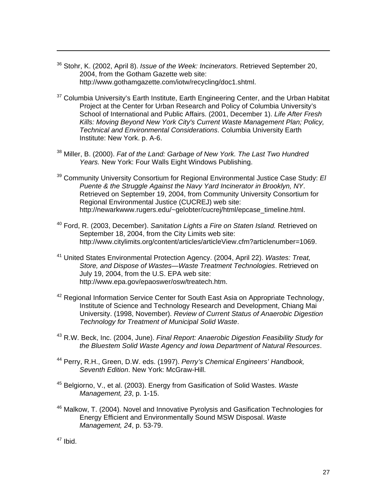- 36 Stohr, K. (2002, April 8). *Issue of the Week: Incinerators*. Retrieved September 20, 2004, from the Gotham Gazette web site: http://www.gothamgazette.com/iotw/recycling/doc1.shtml.
- <sup>37</sup> Columbia University's Earth Institute, Earth Engineering Center, and the Urban Habitat Project at the Center for Urban Research and Policy of Columbia University's School of International and Public Affairs. (2001, December 1). *Life After Fresh Kills: Moving Beyond New York City's Current Waste Management Plan; Policy, Technical and Environmental Considerations*. Columbia University Earth Institute: New York. p. A-6.
- 38 Miller, B. (2000). *Fat of the Land: Garbage of New York. The Last Two Hundred Years.* New York: Four Walls Eight Windows Publishing.
- 39 Community University Consortium for Regional Environmental Justice Case Study: *El Puente & the Struggle Against the Navy Yard Incinerator in Brooklyn, NY*. Retrieved on September 19, 2004, from Community University Consortium for Regional Environmental Justice (CUCREJ) web site: http://newarkwww.rugers.edu/~gelobter/cucrej/html/epcase\_timeline.html.
- 40 Ford, R. (2003, December). *Sanitation Lights a Fire on Staten Island.* Retrieved on September 18, 2004, from the City Limits web site: http://www.citylimits.org/content/articles/articleView.cfm?articlenumber=1069.
- 41 United States Environmental Protection Agency. (2004, April 22). *Wastes: Treat, Store, and Dispose of Wastes—Waste Treatment Technologies*. Retrieved on July 19, 2004, from the U.S. EPA web site: http://www.epa.gov/epaoswer/osw/treatech.htm.
- $42$  Regional Information Service Center for South East Asia on Appropriate Technology, Institute of Science and Technology Research and Development, Chiang Mai University. (1998, November). *Review of Current Status of Anaerobic Digestion Technology for Treatment of Municipal Solid Waste*.
- 43 R.W. Beck, Inc. (2004, June). *Final Report: Anaerobic Digestion Feasibility Study for the Bluestem Solid Waste Agency and Iowa Department of Natural Resources*.
- 44 Perry, R.H., Green, D.W. eds. (1997). *Perry's Chemical Engineers' Handbook, Seventh Edition*. New York: McGraw-Hill.
- 45 Belgiorno, V., et al. (2003). Energy from Gasification of Solid Wastes. *Waste Management, 23*, p. 1-15.
- <sup>46</sup> Malkow, T. (2004). Novel and Innovative Pyrolysis and Gasification Technologies for Energy Efficient and Environmentally Sound MSW Disposal. *Waste Management, 24*, p. 53-79.

47 Ibid.

 $\overline{a}$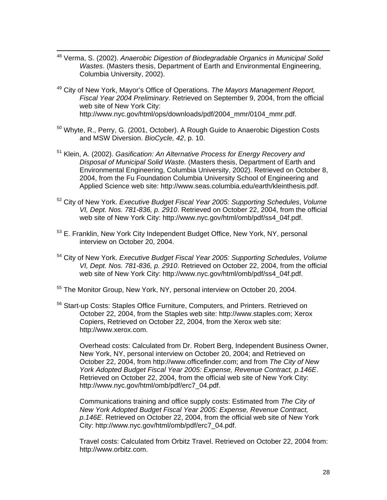- 48 Verma, S. (2002). *Anaerobic Digestion of Biodegradable Organics in Municipal Solid Wastes*. (Masters thesis, Department of Earth and Environmental Engineering, Columbia University, 2002).
- 49 City of New York, Mayor's Office of Operations. *The Mayors Management Report, Fiscal Year 2004 Preliminary*. Retrieved on September 9, 2004, from the official web site of New York City: http://www.nyc.gov/html/ops/downloads/pdf/2004\_mmr/0104\_mmr.pdf.
- 50 Whyte, R., Perry, G. (2001, October). A Rough Guide to Anaerobic Digestion Costs and MSW Diversion. *BioCycle, 42*, p. 10.
- 51 Klein, A. (2002). *Gasification: An Alternative Process for Energy Recovery and Disposal of Municipal Solid Waste.* (Masters thesis, Department of Earth and Environmental Engineering, Columbia University, 2002). Retrieved on October 8, 2004, from the Fu Foundation Columbia University School of Engineering and Applied Science web site: http://www.seas.columbia.edu/earth/kleinthesis.pdf.
- 52 City of New York. *Executive Budget Fiscal Year 2005: Supporting Schedules*, *Volume VI, Dept. Nos. 781-836, p. 2910*. Retrieved on October 22, 2004, from the official web site of New York City: http://www.nyc.gov/html/omb/pdf/ss4\_04f.pdf.
- 53 E. Franklin, New York City Independent Budget Office, New York, NY, personal interview on October 20, 2004.
- 54 City of New York. *Executive Budget Fiscal Year 2005: Supporting Schedules*, *Volume VI, Dept. Nos. 781-836, p. 2910*. Retrieved on October 22, 2004, from the official web site of New York City: http://www.nyc.gov/html/omb/pdf/ss4\_04f.pdf.
- <sup>55</sup> The Monitor Group, New York, NY, personal interview on October 20, 2004.
- <sup>56</sup> Start-up Costs: Staples Office Furniture, Computers, and Printers. Retrieved on October 22, 2004, from the Staples web site: http://www.staples.com; Xerox Copiers, Retrieved on October 22, 2004, from the Xerox web site: http://www.xerox.com.

Overhead costs: Calculated from Dr. Robert Berg, Independent Business Owner, New York, NY, personal interview on October 20, 2004; and Retrieved on October 22, 2004, from http://www.officefinder.com; and from *The City of New York Adopted Budget Fiscal Year 2005: Expense, Revenue Contract, p.146E*. Retrieved on October 22, 2004, from the official web site of New York City: http://www.nyc.gov/html/omb/pdf/erc7\_04.pdf.

Communications training and office supply costs: Estimated from *The City of New York Adopted Budget Fiscal Year 2005: Expense, Revenue Contract, p.146E*. Retrieved on October 22, 2004, from the official web site of New York City: http://www.nyc.gov/html/omb/pdf/erc7\_04.pdf.

Travel costs: Calculated from Orbitz Travel. Retrieved on October 22, 2004 from: http://www.orbitz.com.